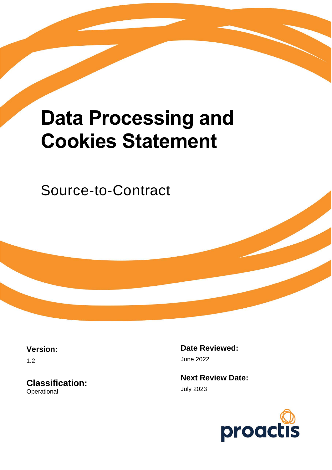# **Data Processing and Cookies Statement**

Source-to-Contract

**Version:**

1.2

**Classification: Operational** 

**Date Reviewed:** June 2022

**Next Review Date:** July 2023

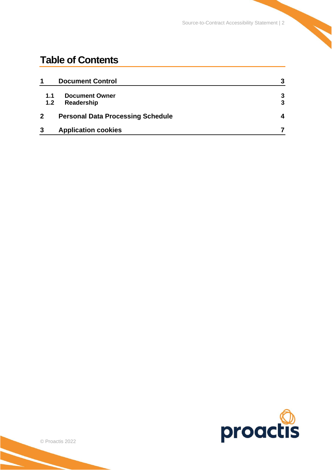# **Table of Contents**

| 1                | <b>Document Control</b>                  | 3 |
|------------------|------------------------------------------|---|
| 1.1              | <b>Document Owner</b>                    | 3 |
| 1.2 <sub>2</sub> | Readership                               | 3 |
|                  | <b>Personal Data Processing Schedule</b> | 4 |
| 3                | <b>Application cookies</b>               |   |

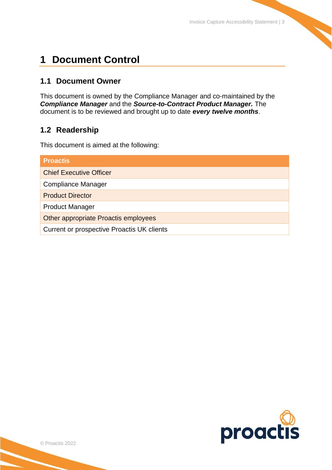## <span id="page-2-0"></span>**1 Document Control**

## <span id="page-2-1"></span>**1.1 Document Owner**

This document is owned by the Compliance Manager and co-maintained by the *Compliance Manager* and the *Source-to-Contract Product Manager.* The document is to be reviewed and brought up to date *every twelve months*.

## <span id="page-2-2"></span>**1.2 Readership**

This document is aimed at the following:

| <b>Proactis</b>                            |
|--------------------------------------------|
| <b>Chief Executive Officer</b>             |
| <b>Compliance Manager</b>                  |
| <b>Product Director</b>                    |
| <b>Product Manager</b>                     |
| Other appropriate Proactis employees       |
| Current or prospective Proactis UK clients |

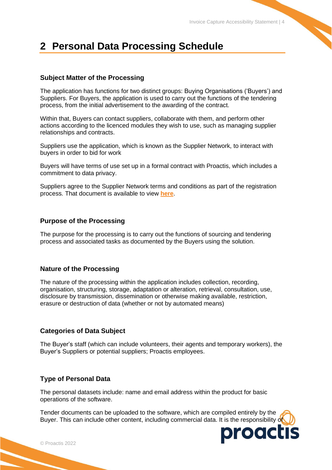# <span id="page-3-0"></span>**2 Personal Data Processing Schedule**

#### **Subject Matter of the Processing**

The application has functions for two distinct groups: Buying Organisations ('Buyers') and Suppliers. For Buyers, the application is used to carry out the functions of the tendering process, from the initial advertisement to the awarding of the contract.

Within that, Buyers can contact suppliers, collaborate with them, and perform other actions according to the licenced modules they wish to use, such as managing supplier relationships and contracts.

Suppliers use the application, which is known as the Supplier Network, to interact with buyers in order to bid for work

Buyers will have terms of use set up in a formal contract with Proactis, which includes a commitment to data privacy.

Suppliers agree to the Supplier Network terms and conditions as part of the registration process. That document is available to view **[here](https://supplierlive.proactisp2p.com/Content/Documents/ProactisNetworkTermsConditions.pdf)**.

#### **Purpose of the Processing**

The purpose for the processing is to carry out the functions of sourcing and tendering process and associated tasks as documented by the Buyers using the solution.

#### **Nature of the Processing**

The nature of the processing within the application includes collection, recording, organisation, structuring, storage, adaptation or alteration, retrieval, consultation, use, disclosure by transmission, dissemination or otherwise making available, restriction, erasure or destruction of data (whether or not by automated means)

#### **Categories of Data Subject**

The Buyer's staff (which can include volunteers, their agents and temporary workers), the Buyer's Suppliers or potential suppliers; Proactis employees.

#### **Type of Personal Data**

The personal datasets include: name and email address within the product for basic operations of the software.

Tender documents can be uploaded to the software, which are compiled entirely by the Buyer. This can include other content, including commercial data. It is the responsibility of

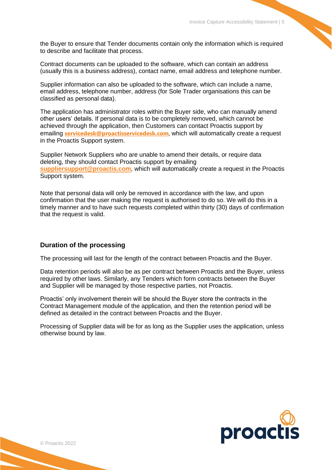the Buyer to ensure that Tender documents contain only the information which is required to describe and facilitate that process.

Contract documents can be uploaded to the software, which can contain an address (usually this is a business address), contact name, email address and telephone number.

Supplier information can also be uploaded to the software, which can include a name, email address, telephone number, address (for Sole Trader organisations this can be classified as personal data).

The application has administrator roles within the Buyer side, who can manually amend other users' details. If personal data is to be completely removed, which cannot be achieved through the application, then Customers can contact Proactis support by emailing **[servicedesk@proactisservicedesk.com](mailto:servicedesk@proactisservicedesk.com)**, which will automatically create a request in the Proactis Support system.

Supplier Network Suppliers who are unable to amend their details, or require data deleting, they should contact Proactis support by emailing **[suppliersupport@proactis.com](mailto:suppliersupport@proactis.com)**, which will automatically create a request in the Proactis Support system.

Note that personal data will only be removed in accordance with the law, and upon confirmation that the user making the request is authorised to do so. We will do this in a timely manner and to have such requests completed within thirty (30) days of confirmation that the request is valid.

#### **Duration of the processing**

The processing will last for the length of the contract between Proactis and the Buyer.

Data retention periods will also be as per contract between Proactis and the Buyer, unless required by other laws. Similarly, any Tenders which form contracts between the Buyer and Supplier will be managed by those respective parties, not Proactis.

Proactis' only involvement therein will be should the Buyer store the contracts in the Contract Management module of the application, and then the retention period will be defined as detailed in the contract between Proactis and the Buyer.

Processing of Supplier data will be for as long as the Supplier uses the application, unless otherwise bound by law.

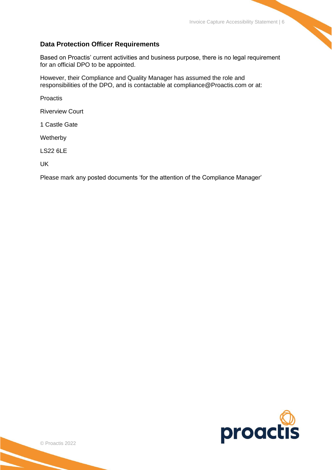#### **Data Protection Officer Requirements**

Based on Proactis' current activities and business purpose, there is no legal requirement for an official DPO to be appointed.

However, their Compliance and Quality Manager has assumed the role and responsibilities of the DPO, and is contactable at compliance@Proactis.com or at:

Proactis

Riverview Court

1 Castle Gate

Wetherby

LS22 6LE

UK

Please mark any posted documents 'for the attention of the Compliance Manager'

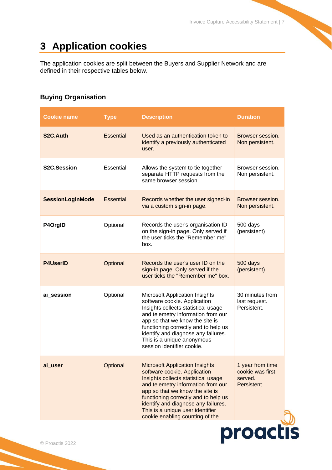# <span id="page-6-0"></span>**3 Application cookies**

The application cookies are split between the Buyers and Supplier Network and are defined in their respective tables below.

## **Buying Organisation**

| <b>Cookie name</b>      | <b>Type</b>      | <b>Description</b>                                                                                                                                                                                                                                                                                                                          | <b>Duration</b>                                                |
|-------------------------|------------------|---------------------------------------------------------------------------------------------------------------------------------------------------------------------------------------------------------------------------------------------------------------------------------------------------------------------------------------------|----------------------------------------------------------------|
| S <sub>2</sub> C.Auth   | <b>Essential</b> | Used as an authentication token to<br>identify a previously authenticated<br>user.                                                                                                                                                                                                                                                          | Browser session.<br>Non persistent.                            |
| S2C.Session             | Essential        | Allows the system to tie together<br>separate HTTP requests from the<br>same browser session.                                                                                                                                                                                                                                               | Browser session.<br>Non persistent.                            |
| <b>SessionLoginMode</b> | <b>Essential</b> | Records whether the user signed-in<br>via a custom sign-in page.                                                                                                                                                                                                                                                                            | Browser session.<br>Non persistent.                            |
| P4OrgID                 | Optional         | Records the user's organisation ID<br>on the sign-in page. Only served if<br>the user ticks the "Remember me"<br>box.                                                                                                                                                                                                                       | 500 days<br>(persistent)                                       |
| <b>P4UserID</b>         | Optional         | Records the user's user ID on the<br>sign-in page. Only served if the<br>user ticks the "Remember me" box.                                                                                                                                                                                                                                  | 500 days<br>(persistent)                                       |
| ai_session              | Optional         | Microsoft Application Insights<br>software cookie. Application<br>Insights collects statistical usage<br>and telemetry information from our<br>app so that we know the site is<br>functioning correctly and to help us<br>identify and diagnose any failures.<br>This is a unique anonymous<br>session identifier cookie.                   | 30 minutes from<br>last request.<br>Persistent.                |
| ai_user                 | Optional         | <b>Microsoft Application Insights</b><br>software cookie. Application<br>Insights collects statistical usage<br>and telemetry information from our<br>app so that we know the site is<br>functioning correctly and to help us<br>identify and diagnose any failures.<br>This is a unique user identifier<br>cookie enabling counting of the | 1 year from time<br>cookie was first<br>served.<br>Persistent. |

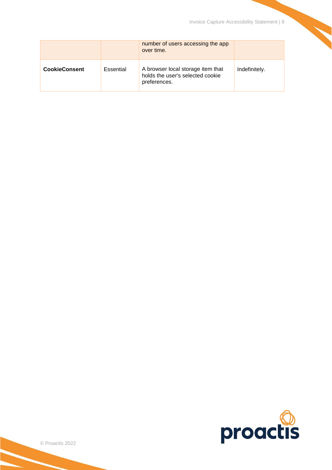|                      |           | number of users accessing the app<br>over time.                                       |               |
|----------------------|-----------|---------------------------------------------------------------------------------------|---------------|
| <b>CookieConsent</b> | Essential | A browser local storage item that<br>holds the user's selected cookie<br>preferences. | Indefinitely. |